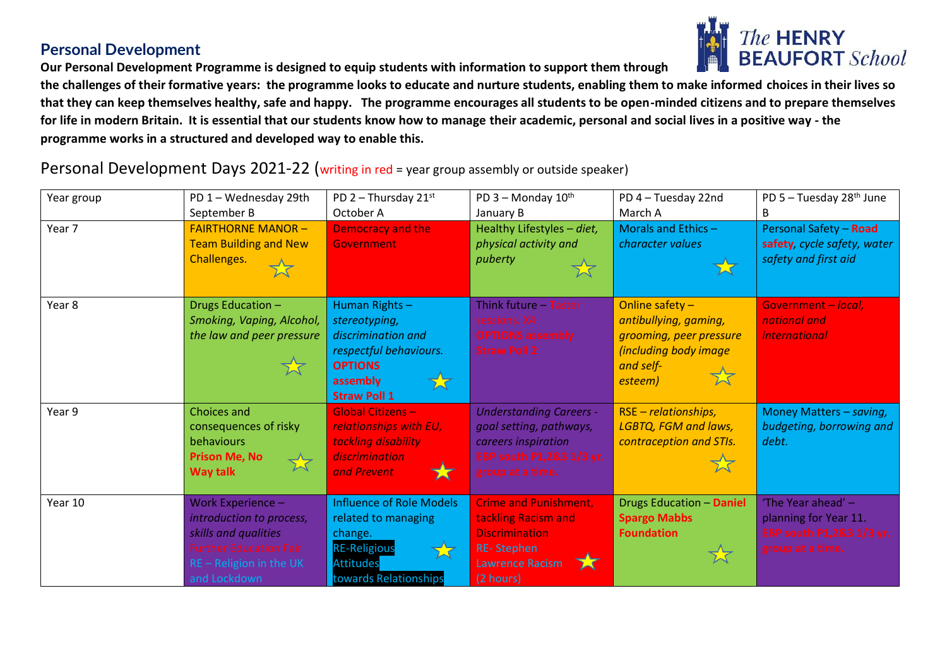## **Personal Development**

**Our Personal Development Programme is designed to equip students with information to support them through** 



**the challenges of their formative years: the programme looks to educate and nurture students, enabling them to make informed choices in their lives so that they can keep themselves healthy, safe and happy. The programme encourages all students to be open-minded citizens and to prepare themselves for life in modern Britain. It is essential that our students know how to manage their academic, personal and social lives in a positive way - the programme works in a structured and developed way to enable this.**

Personal Development Days 2021-22 (writing in red = year group assembly or outside speaker)

| Year group | PD 1 - Wednesday 29th                                                                                                                             | PD $2$ – Thursday $21^{st}$                                                                                                           | PD 3 - Monday 10th                                                                                                                                      | PD 4 - Tuesday 22nd                                                                                                         | PD 5 - Tuesday 28 <sup>th</sup> June                                                        |
|------------|---------------------------------------------------------------------------------------------------------------------------------------------------|---------------------------------------------------------------------------------------------------------------------------------------|---------------------------------------------------------------------------------------------------------------------------------------------------------|-----------------------------------------------------------------------------------------------------------------------------|---------------------------------------------------------------------------------------------|
| Year 7     | September B<br><b>FAIRTHORNE MANOR -</b><br><b>Team Building and New</b><br>Challenges.                                                           | October A<br><b>Democracy and the</b><br><b>Government</b>                                                                            | January B<br>Healthy Lifestyles - diet,<br>physical activity and<br>puberty                                                                             | March A<br>Morals and Ethics $-$<br>character values                                                                        | B<br>Personal Safety - Road<br>safety, cycle safety, water<br>safety and first aid          |
| Year 8     | Drugs Education -<br>Smoking, Vaping, Alcohol,<br>the law and peer pressure<br>文                                                                  | Human Rights-<br>stereotyping,<br>discrimination and<br>respectful behaviours.<br><b>OPTIONS</b><br>assembly<br><b>Straw Poll 1</b>   | Think future $-$<br>Taster<br>sessions. X4<br><b>OPTIONS assembly</b><br><b>Straw Poll 2</b>                                                            | Online safety $-$<br>antibullying, gaming,<br>grooming, peer pressure<br>(including body image<br>and self-<br>文<br>esteem) | Government - local,<br>national and<br><i>international</i>                                 |
| Year 9     | <b>Choices and</b><br>consequences of risky<br>behaviours<br><b>Prison Me, No</b><br>$\overrightarrow{\lambda}$<br><b>Way talk</b>                | <b>Global Citizens -</b><br>relationships with EU,<br>tackling disability<br>discrimination<br>and Prevent<br>Х                       | <b>Understanding Careers -</b><br>goal setting, pathways,<br>careers inspiration<br>EBP south P1,2&3 1/3 yr.<br>group at a time.                        | $RSE - relationships$ ,<br>LGBTQ, FGM and laws,<br>contraception and STIs.<br>☆                                             | Money Matters - saving,<br>budgeting, borrowing and<br>debt.                                |
| Year 10    | Work Experience -<br>introduction to process,<br>skills and qualities<br><b>Further Education Fair</b><br>RE - Religion in the UK<br>and Lockdown | <b>Influence of Role Models</b><br>related to managing<br>change.<br><b>RE-Religious</b><br><b>Attitudes</b><br>towards Relationships | <b>Crime and Punishment,</b><br>tackling Racism and<br><b>Discrimination</b><br><b>RE-Stephen</b><br><b>Lawrence Racism</b><br>$\mathbf x$<br>(2 hours) | <b>Drugs Education - Daniel</b><br><b>Spargo Mabbs</b><br><b>Foundation</b>                                                 | 'The Year ahead' -<br>planning for Year 11.<br>EBP south P1,2&3 1/3 yr.<br>group at a time. |